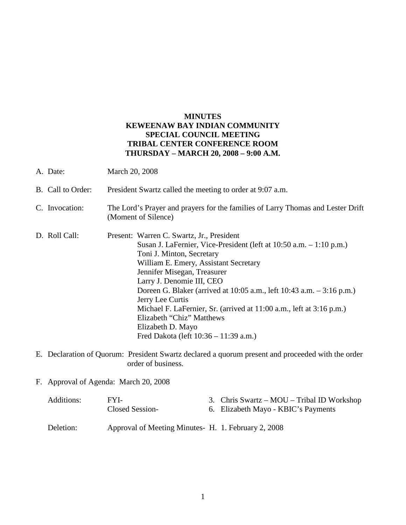# **MINUTES KEWEENAW BAY INDIAN COMMUNITY SPECIAL COUNCIL MEETING TRIBAL CENTER CONFERENCE ROOM THURSDAY – MARCH 20, 2008 – 9:00 A.M.**

- A. Date: March 20, 2008 B. Call to Order: President Swartz called the meeting to order at 9:07 a.m. C. Invocation: The Lord's Prayer and prayers for the families of Larry Thomas and Lester Drift (Moment of Silence) D. Roll Call: Present: Warren C. Swartz, Jr., President Susan J. LaFernier, Vice-President (left at 10:50 a.m. – 1:10 p.m.) Toni J. Minton, Secretary William E. Emery, Assistant Secretary Jennifer Misegan, Treasurer Larry J. Denomie III, CEO Doreen G. Blaker (arrived at 10:05 a.m., left 10:43 a.m. – 3:16 p.m.) Jerry Lee Curtis Michael F. LaFernier, Sr. (arrived at 11:00 a.m., left at 3:16 p.m.) Elizabeth "Chiz" Matthews Elizabeth D. Mayo Fred Dakota (left 10:36 – 11:39 a.m.)
- E. Declaration of Quorum: President Swartz declared a quorum present and proceeded with the order order of business.
- F. Approval of Agenda: March 20, 2008

| Additions: | FYI-<br>Closed Session-                            | 3. Chris Swartz – MOU – Tribal ID Workshop<br>6. Elizabeth Mayo - KBIC's Payments |
|------------|----------------------------------------------------|-----------------------------------------------------------------------------------|
| Deletion:  | Approval of Meeting Minutes H. 1. February 2, 2008 |                                                                                   |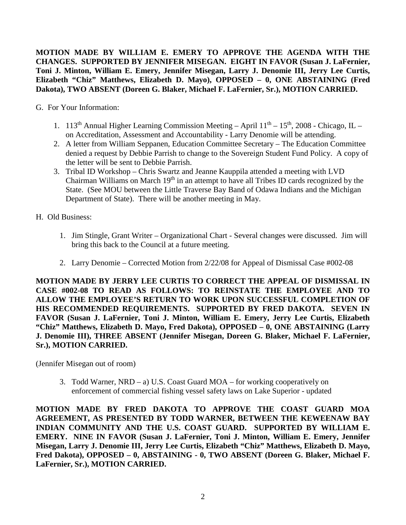**MOTION MADE BY WILLIAM E. EMERY TO APPROVE THE AGENDA WITH THE CHANGES. SUPPORTED BY JENNIFER MISEGAN. EIGHT IN FAVOR (Susan J. LaFernier, Toni J. Minton, William E. Emery, Jennifer Misegan, Larry J. Denomie III, Jerry Lee Curtis, Elizabeth "Chiz" Matthews, Elizabeth D. Mayo), OPPOSED – 0, ONE ABSTAINING (Fred Dakota), TWO ABSENT (Doreen G. Blaker, Michael F. LaFernier, Sr.), MOTION CARRIED.**

G. For Your Information:

- 1. 113<sup>th</sup> Annual Higher Learning Commission Meeting April  $11<sup>th</sup>$  15<sup>th</sup>, 2008 Chicago, IL on Accreditation, Assessment and Accountability - Larry Denomie will be attending.
- 2. A letter from William Seppanen, Education Committee Secretary The Education Committee denied a request by Debbie Parrish to change to the Sovereign Student Fund Policy. A copy of the letter will be sent to Debbie Parrish.
- 3. Tribal ID Workshop Chris Swartz and Jeanne Kauppila attended a meeting with LVD Chairman Williams on March 19th in an attempt to have all Tribes ID cards recognized by the State. (See MOU between the Little Traverse Bay Band of Odawa Indians and the Michigan Department of State). There will be another meeting in May.
- H. Old Business:
	- 1. Jim Stingle, Grant Writer Organizational Chart Several changes were discussed. Jim will bring this back to the Council at a future meeting.
	- 2. Larry Denomie Corrected Motion from 2/22/08 for Appeal of Dismissal Case #002-08

**MOTION MADE BY JERRY LEE CURTIS TO CORRECT THE APPEAL OF DISMISSAL IN CASE #002-08 TO READ AS FOLLOWS: TO REINSTATE THE EMPLOYEE AND TO ALLOW THE EMPLOYEE'S RETURN TO WORK UPON SUCCESSFUL COMPLETION OF HIS RECOMMENDED REQUIREMENTS. SUPPORTED BY FRED DAKOTA. SEVEN IN FAVOR (Susan J. LaFernier, Toni J. Minton, William E. Emery, Jerry Lee Curtis, Elizabeth "Chiz" Matthews, Elizabeth D. Mayo, Fred Dakota), OPPOSED – 0, ONE ABSTAINING (Larry J. Denomie III), THREE ABSENT (Jennifer Misegan, Doreen G. Blaker, Michael F. LaFernier, Sr.), MOTION CARRIED.**

(Jennifer Misegan out of room)

3. Todd Warner, NRD – a) U.S. Coast Guard MOA – for working cooperatively on enforcement of commercial fishing vessel safety laws on Lake Superior - updated

**MOTION MADE BY FRED DAKOTA TO APPROVE THE COAST GUARD MOA AGREEMENT, AS PRESENTED BY TODD WARNER, BETWEEN THE KEWEENAW BAY INDIAN COMMUNITY AND THE U.S. COAST GUARD. SUPPORTED BY WILLIAM E. EMERY. NINE IN FAVOR (Susan J. LaFernier, Toni J. Minton, William E. Emery, Jennifer Misegan, Larry J. Denomie III, Jerry Lee Curtis, Elizabeth "Chiz" Matthews, Elizabeth D. Mayo, Fred Dakota), OPPOSED – 0, ABSTAINING - 0, TWO ABSENT (Doreen G. Blaker, Michael F. LaFernier, Sr.), MOTION CARRIED.**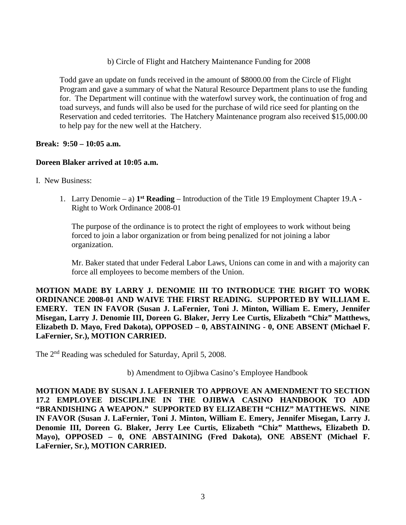### b) Circle of Flight and Hatchery Maintenance Funding for 2008

Todd gave an update on funds received in the amount of \$8000.00 from the Circle of Flight Program and gave a summary of what the Natural Resource Department plans to use the funding for. The Department will continue with the waterfowl survey work, the continuation of frog and toad surveys, and funds will also be used for the purchase of wild rice seed for planting on the Reservation and ceded territories. The Hatchery Maintenance program also received \$15,000.00 to help pay for the new well at the Hatchery.

# **Break: 9:50 – 10:05 a.m.**

#### **Doreen Blaker arrived at 10:05 a.m.**

- I. New Business:
	- 1. Larry Denomie a) **1st Reading** Introduction of the Title 19 Employment Chapter 19.A Right to Work Ordinance 2008-01

The purpose of the ordinance is to protect the right of employees to work without being forced to join a labor organization or from being penalized for not joining a labor organization.

Mr. Baker stated that under Federal Labor Laws, Unions can come in and with a majority can force all employees to become members of the Union.

**MOTION MADE BY LARRY J. DENOMIE III TO INTRODUCE THE RIGHT TO WORK ORDINANCE 2008-01 AND WAIVE THE FIRST READING. SUPPORTED BY WILLIAM E. EMERY. TEN IN FAVOR (Susan J. LaFernier, Toni J. Minton, William E. Emery, Jennifer Misegan, Larry J. Denomie III, Doreen G. Blaker, Jerry Lee Curtis, Elizabeth "Chiz" Matthews, Elizabeth D. Mayo, Fred Dakota), OPPOSED – 0, ABSTAINING - 0, ONE ABSENT (Michael F. LaFernier, Sr.), MOTION CARRIED.**

The 2nd Reading was scheduled for Saturday, April 5, 2008.

b) Amendment to Ojibwa Casino's Employee Handbook

**MOTION MADE BY SUSAN J. LAFERNIER TO APPROVE AN AMENDMENT TO SECTION 17.2 EMPLOYEE DISCIPLINE IN THE OJIBWA CASINO HANDBOOK TO ADD "BRANDISHING A WEAPON." SUPPORTED BY ELIZABETH "CHIZ" MATTHEWS. NINE IN FAVOR (Susan J. LaFernier, Toni J. Minton, William E. Emery, Jennifer Misegan, Larry J. Denomie III, Doreen G. Blaker, Jerry Lee Curtis, Elizabeth "Chiz" Matthews, Elizabeth D. Mayo), OPPOSED – 0, ONE ABSTAINING (Fred Dakota), ONE ABSENT (Michael F. LaFernier, Sr.), MOTION CARRIED.**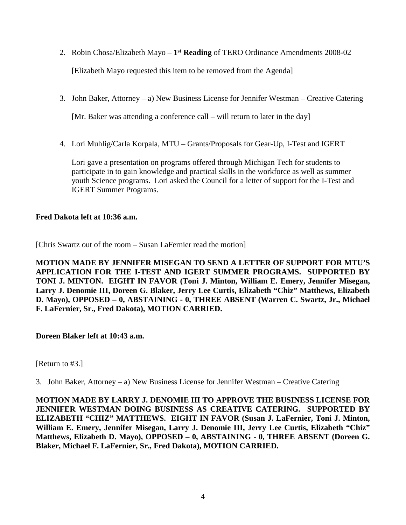- 2. Robin Chosa/Elizabeth Mayo **1st Reading** of TERO Ordinance Amendments 2008-02 [Elizabeth Mayo requested this item to be removed from the Agenda]
- 3. John Baker, Attorney a) New Business License for Jennifer Westman Creative Catering

[Mr. Baker was attending a conference call – will return to later in the day]

4. Lori Muhlig/Carla Korpala, MTU – Grants/Proposals for Gear-Up, I-Test and IGERT

Lori gave a presentation on programs offered through Michigan Tech for students to participate in to gain knowledge and practical skills in the workforce as well as summer youth Science programs. Lori asked the Council for a letter of support for the I-Test and IGERT Summer Programs.

# **Fred Dakota left at 10:36 a.m.**

[Chris Swartz out of the room – Susan LaFernier read the motion]

**MOTION MADE BY JENNIFER MISEGAN TO SEND A LETTER OF SUPPORT FOR MTU'S APPLICATION FOR THE I-TEST AND IGERT SUMMER PROGRAMS. SUPPORTED BY TONI J. MINTON. EIGHT IN FAVOR (Toni J. Minton, William E. Emery, Jennifer Misegan, Larry J. Denomie III, Doreen G. Blaker, Jerry Lee Curtis, Elizabeth "Chiz" Matthews, Elizabeth D. Mayo), OPPOSED – 0, ABSTAINING - 0, THREE ABSENT (Warren C. Swartz, Jr., Michael F. LaFernier, Sr., Fred Dakota), MOTION CARRIED.**

# **Doreen Blaker left at 10:43 a.m.**

[Return to #3.]

3. John Baker, Attorney – a) New Business License for Jennifer Westman – Creative Catering

**MOTION MADE BY LARRY J. DENOMIE III TO APPROVE THE BUSINESS LICENSE FOR JENNIFER WESTMAN DOING BUSINESS AS CREATIVE CATERING. SUPPORTED BY ELIZABETH "CHIZ" MATTHEWS. EIGHT IN FAVOR (Susan J. LaFernier, Toni J. Minton, William E. Emery, Jennifer Misegan, Larry J. Denomie III, Jerry Lee Curtis, Elizabeth "Chiz" Matthews, Elizabeth D. Mayo), OPPOSED – 0, ABSTAINING - 0, THREE ABSENT (Doreen G. Blaker, Michael F. LaFernier, Sr., Fred Dakota), MOTION CARRIED.**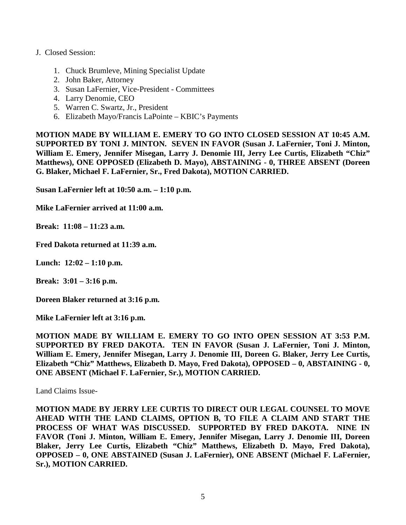#### J. Closed Session:

- 1. Chuck Brumleve, Mining Specialist Update
- 2. John Baker, Attorney
- 3. Susan LaFernier, Vice-President Committees
- 4. Larry Denomie, CEO
- 5. Warren C. Swartz, Jr., President
- 6. Elizabeth Mayo/Francis LaPointe KBIC's Payments

**MOTION MADE BY WILLIAM E. EMERY TO GO INTO CLOSED SESSION AT 10:45 A.M. SUPPORTED BY TONI J. MINTON. SEVEN IN FAVOR (Susan J. LaFernier, Toni J. Minton, William E. Emery, Jennifer Misegan, Larry J. Denomie III, Jerry Lee Curtis, Elizabeth "Chiz" Matthews), ONE OPPOSED (Elizabeth D. Mayo), ABSTAINING - 0, THREE ABSENT (Doreen G. Blaker, Michael F. LaFernier, Sr., Fred Dakota), MOTION CARRIED.**

**Susan LaFernier left at 10:50 a.m. – 1:10 p.m.**

**Mike LaFernier arrived at 11:00 a.m.**

**Break: 11:08 – 11:23 a.m.**

**Fred Dakota returned at 11:39 a.m.**

**Lunch: 12:02 – 1:10 p.m.**

**Break: 3:01 – 3:16 p.m.**

**Doreen Blaker returned at 3:16 p.m.**

**Mike LaFernier left at 3:16 p.m.**

**MOTION MADE BY WILLIAM E. EMERY TO GO INTO OPEN SESSION AT 3:53 P.M. SUPPORTED BY FRED DAKOTA. TEN IN FAVOR (Susan J. LaFernier, Toni J. Minton, William E. Emery, Jennifer Misegan, Larry J. Denomie III, Doreen G. Blaker, Jerry Lee Curtis, Elizabeth "Chiz" Matthews, Elizabeth D. Mayo, Fred Dakota), OPPOSED – 0, ABSTAINING - 0, ONE ABSENT (Michael F. LaFernier, Sr.), MOTION CARRIED.**

Land Claims Issue-

**MOTION MADE BY JERRY LEE CURTIS TO DIRECT OUR LEGAL COUNSEL TO MOVE AHEAD WITH THE LAND CLAIMS, OPTION B, TO FILE A CLAIM AND START THE PROCESS OF WHAT WAS DISCUSSED. SUPPORTED BY FRED DAKOTA. NINE IN FAVOR (Toni J. Minton, William E. Emery, Jennifer Misegan, Larry J. Denomie III, Doreen Blaker, Jerry Lee Curtis, Elizabeth "Chiz" Matthews, Elizabeth D. Mayo, Fred Dakota), OPPOSED – 0, ONE ABSTAINED (Susan J. LaFernier), ONE ABSENT (Michael F. LaFernier, Sr.), MOTION CARRIED.**